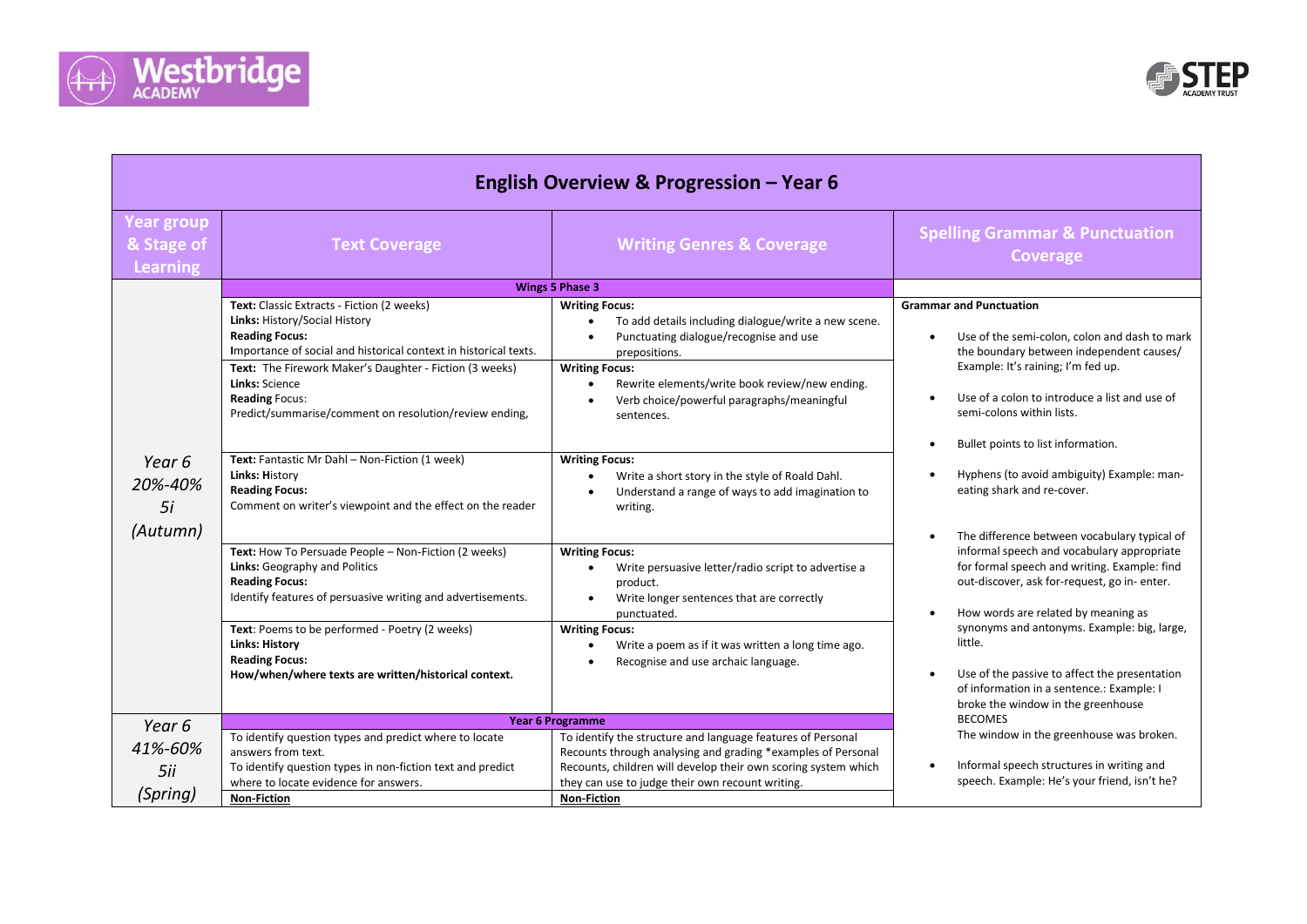



| <b>English Overview &amp; Progression - Year 6</b> |                                                                                                                                                                                                                                                                                                                                          |                                                                                                                                                                                                                                                                                 |                                                                                                                                                                                                                                                 |  |  |  |
|----------------------------------------------------|------------------------------------------------------------------------------------------------------------------------------------------------------------------------------------------------------------------------------------------------------------------------------------------------------------------------------------------|---------------------------------------------------------------------------------------------------------------------------------------------------------------------------------------------------------------------------------------------------------------------------------|-------------------------------------------------------------------------------------------------------------------------------------------------------------------------------------------------------------------------------------------------|--|--|--|
| <b>Year group</b><br>& Stage of<br>Learning        | <b>Text Coverage</b>                                                                                                                                                                                                                                                                                                                     | <b>Writing Genres &amp; Coverage</b>                                                                                                                                                                                                                                            | <b>Spelling Grammar &amp; Punctuation</b><br><b>Coverage</b>                                                                                                                                                                                    |  |  |  |
|                                                    | Wings 5 Phase 3                                                                                                                                                                                                                                                                                                                          |                                                                                                                                                                                                                                                                                 |                                                                                                                                                                                                                                                 |  |  |  |
|                                                    | Text: Classic Extracts - Fiction (2 weeks)<br>Links: History/Social History<br><b>Reading Focus:</b><br>Importance of social and historical context in historical texts.<br>Text: The Firework Maker's Daughter - Fiction (3 weeks)<br>Links: Science<br><b>Reading Focus:</b><br>Predict/summarise/comment on resolution/review ending, | <b>Writing Focus:</b><br>To add details including dialogue/write a new scene.<br>Punctuating dialogue/recognise and use<br>prepositions.<br><b>Writing Focus:</b><br>Rewrite elements/write book review/new ending.<br>Verb choice/powerful paragraphs/meaningful<br>sentences. | <b>Grammar and Punctuation</b><br>Use of the semi-colon, colon and dash to mark<br>the boundary between independent causes/<br>Example: It's raining; I'm fed up.<br>Use of a colon to introduce a list and use of<br>semi-colons within lists. |  |  |  |
| Year 6<br>20%-40%<br>5i<br>(Autumn)                | Text: Fantastic Mr Dahl - Non-Fiction (1 week)<br>Links: History<br><b>Reading Focus:</b><br>Comment on writer's viewpoint and the effect on the reader                                                                                                                                                                                  | <b>Writing Focus:</b><br>Write a short story in the style of Roald Dahl.<br>Understand a range of ways to add imagination to<br>writing.                                                                                                                                        | Bullet points to list information.<br>Hyphens (to avoid ambiguity) Example: man-<br>eating shark and re-cover.<br>The difference between vocabulary typical of                                                                                  |  |  |  |
|                                                    | Text: How To Persuade People - Non-Fiction (2 weeks)<br>Links: Geography and Politics<br><b>Reading Focus:</b><br>Identify features of persuasive writing and advertisements.                                                                                                                                                            | <b>Writing Focus:</b><br>Write persuasive letter/radio script to advertise a<br>product.<br>Write longer sentences that are correctly<br>punctuated.                                                                                                                            | informal speech and vocabulary appropriate<br>for formal speech and writing. Example: find<br>out-discover, ask for-request, go in- enter.<br>How words are related by meaning as<br>$\bullet$                                                  |  |  |  |
|                                                    | Text: Poems to be performed - Poetry (2 weeks)<br><b>Links: History</b><br><b>Reading Focus:</b><br>How/when/where texts are written/historical context.                                                                                                                                                                                 | <b>Writing Focus:</b><br>Write a poem as if it was written a long time ago.<br>Recognise and use archaic language.                                                                                                                                                              | synonyms and antonyms. Example: big, large,<br>little.<br>Use of the passive to affect the presentation<br>$\bullet$<br>of information in a sentence.: Example: I<br>broke the window in the greenhouse                                         |  |  |  |
| Year 6                                             | <b>Year 6 Programme</b>                                                                                                                                                                                                                                                                                                                  |                                                                                                                                                                                                                                                                                 | <b>BECOMES</b>                                                                                                                                                                                                                                  |  |  |  |
| 41%-60%<br>5ii                                     | To identify question types and predict where to locate<br>answers from text.<br>To identify question types in non-fiction text and predict<br>where to locate evidence for answers.                                                                                                                                                      | To identify the structure and language features of Personal<br>Recounts through analysing and grading *examples of Personal<br>Recounts, children will develop their own scoring system which<br>they can use to judge their own recount writing.                               | The window in the greenhouse was broken.<br>Informal speech structures in writing and<br>speech. Example: He's your friend, isn't he?                                                                                                           |  |  |  |
| (Spring)                                           | <b>Non-Fiction</b>                                                                                                                                                                                                                                                                                                                       | <b>Non-Fiction</b>                                                                                                                                                                                                                                                              |                                                                                                                                                                                                                                                 |  |  |  |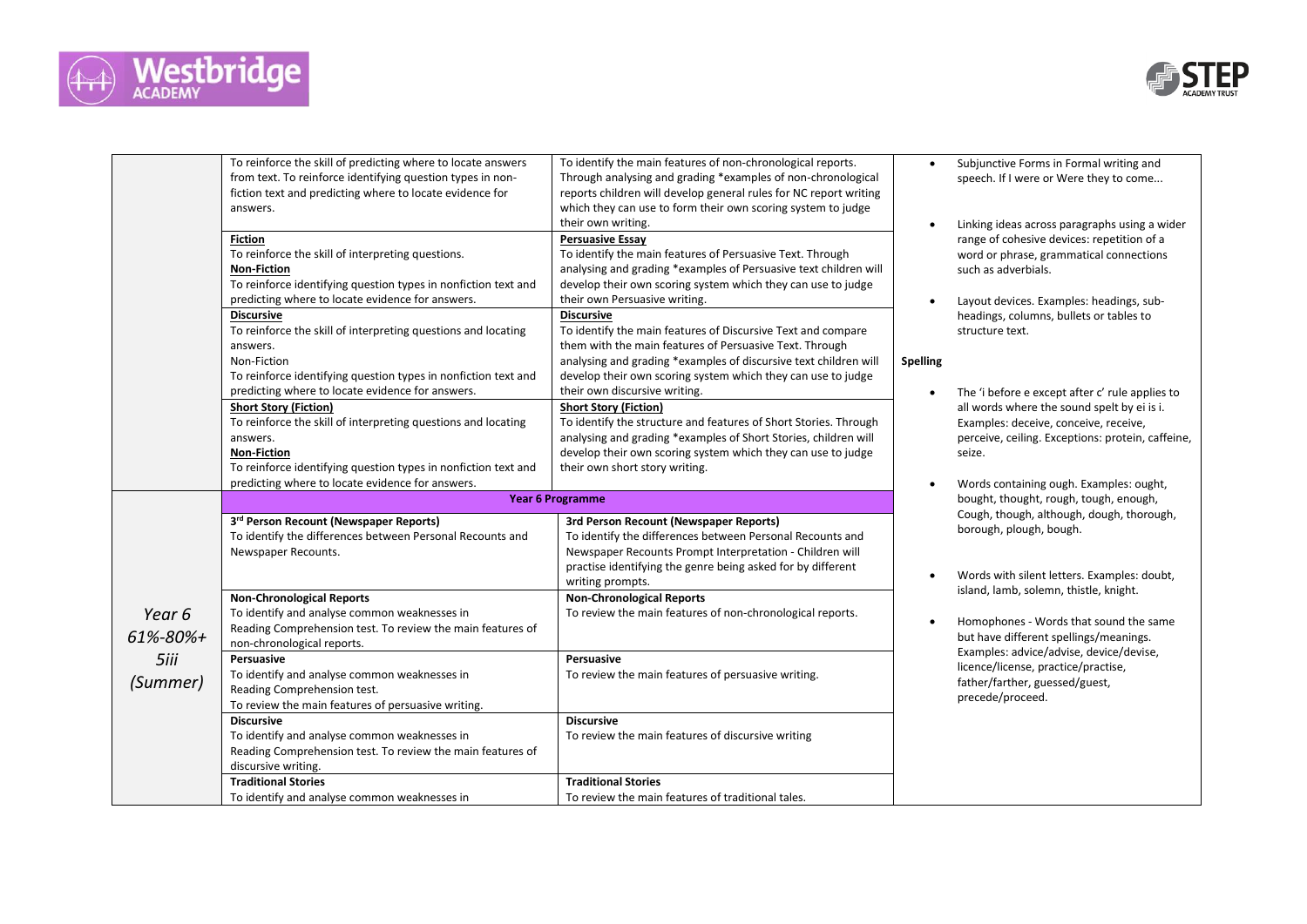



|          | To reinforce the skill of predicting where to locate answers   | To identify the main features of non-chronological reports.       | $\bullet$       | Subjunctive Forms in Formal writing and                                                                                                                                          |
|----------|----------------------------------------------------------------|-------------------------------------------------------------------|-----------------|----------------------------------------------------------------------------------------------------------------------------------------------------------------------------------|
|          | from text. To reinforce identifying question types in non-     | Through analysing and grading *examples of non-chronological      |                 | speech. If I were or Were they to come<br>Linking ideas across paragraphs using a wider<br>range of cohesive devices: repetition of a<br>word or phrase, grammatical connections |
|          | fiction text and predicting where to locate evidence for       | reports children will develop general rules for NC report writing |                 |                                                                                                                                                                                  |
|          | answers.                                                       | which they can use to form their own scoring system to judge      |                 |                                                                                                                                                                                  |
|          |                                                                | their own writing.                                                | $\bullet$       |                                                                                                                                                                                  |
|          | <b>Fiction</b>                                                 | <b>Persuasive Essay</b>                                           |                 |                                                                                                                                                                                  |
|          | To reinforce the skill of interpreting questions.              | To identify the main features of Persuasive Text. Through         |                 |                                                                                                                                                                                  |
|          | <b>Non-Fiction</b>                                             | analysing and grading *examples of Persuasive text children will  |                 | such as adverbials.                                                                                                                                                              |
|          | To reinforce identifying question types in nonfiction text and | develop their own scoring system which they can use to judge      |                 |                                                                                                                                                                                  |
|          | predicting where to locate evidence for answers.               | their own Persuasive writing.                                     | $\bullet$       | Layout devices. Examples: headings, sub-<br>headings, columns, bullets or tables to<br>structure text.                                                                           |
|          | <b>Discursive</b>                                              | <b>Discursive</b>                                                 |                 |                                                                                                                                                                                  |
|          | To reinforce the skill of interpreting questions and locating  | To identify the main features of Discursive Text and compare      |                 |                                                                                                                                                                                  |
|          | answers.                                                       | them with the main features of Persuasive Text. Through           |                 |                                                                                                                                                                                  |
|          | Non-Fiction                                                    | analysing and grading *examples of discursive text children will  | <b>Spelling</b> |                                                                                                                                                                                  |
|          | To reinforce identifying question types in nonfiction text and | develop their own scoring system which they can use to judge      |                 |                                                                                                                                                                                  |
|          | predicting where to locate evidence for answers.               | their own discursive writing.                                     | ٠               | The 'i before e except after c' rule applies to                                                                                                                                  |
|          | <b>Short Story (Fiction)</b>                                   | <b>Short Story (Fiction)</b>                                      |                 | all words where the sound spelt by ei is i.                                                                                                                                      |
|          | To reinforce the skill of interpreting questions and locating  | To identify the structure and features of Short Stories. Through  |                 | Examples: deceive, conceive, receive,                                                                                                                                            |
|          | answers.                                                       | analysing and grading *examples of Short Stories, children will   |                 | perceive, ceiling. Exceptions: protein, caffeine,                                                                                                                                |
|          | <b>Non-Fiction</b>                                             | develop their own scoring system which they can use to judge      |                 | seize.                                                                                                                                                                           |
|          | To reinforce identifying question types in nonfiction text and | their own short story writing.                                    |                 |                                                                                                                                                                                  |
|          | predicting where to locate evidence for answers.               |                                                                   | $\bullet$       | Words containing ough. Examples: ought,                                                                                                                                          |
|          | <b>Year 6 Programme</b>                                        |                                                                   |                 | bought, thought, rough, tough, enough,                                                                                                                                           |
|          | 3rd Person Recount (Newspaper Reports)                         | 3rd Person Recount (Newspaper Reports)                            |                 | Cough, though, although, dough, thorough,                                                                                                                                        |
|          | To identify the differences between Personal Recounts and      | To identify the differences between Personal Recounts and         |                 | borough, plough, bough.                                                                                                                                                          |
|          | Newspaper Recounts.                                            | Newspaper Recounts Prompt Interpretation - Children will          |                 |                                                                                                                                                                                  |
|          |                                                                | practise identifying the genre being asked for by different       |                 |                                                                                                                                                                                  |
|          |                                                                | writing prompts.                                                  | $\bullet$       | Words with silent letters. Examples: doubt,                                                                                                                                      |
|          | <b>Non-Chronological Reports</b>                               | <b>Non-Chronological Reports</b>                                  |                 | island, lamb, solemn, thistle, knight.                                                                                                                                           |
| Year 6   | To identify and analyse common weaknesses in                   | To review the main features of non-chronological reports.         |                 |                                                                                                                                                                                  |
|          | Reading Comprehension test. To review the main features of     |                                                                   | $\bullet$       | Homophones - Words that sound the same                                                                                                                                           |
| 61%-80%+ | non-chronological reports.                                     |                                                                   |                 | but have different spellings/meanings.                                                                                                                                           |
| 5iii     | <b>Persuasive</b>                                              | Persuasive                                                        |                 | Examples: advice/advise, device/devise,                                                                                                                                          |
|          | To identify and analyse common weaknesses in                   | To review the main features of persuasive writing.                |                 | licence/license, practice/practise,                                                                                                                                              |
| (Summer) | Reading Comprehension test.                                    |                                                                   |                 | father/farther, guessed/guest,                                                                                                                                                   |
|          | To review the main features of persuasive writing.             |                                                                   |                 | precede/proceed.                                                                                                                                                                 |
|          | <b>Discursive</b>                                              | <b>Discursive</b>                                                 |                 |                                                                                                                                                                                  |
|          | To identify and analyse common weaknesses in                   | To review the main features of discursive writing                 |                 |                                                                                                                                                                                  |
|          | Reading Comprehension test. To review the main features of     |                                                                   |                 |                                                                                                                                                                                  |
|          | discursive writing.                                            |                                                                   |                 |                                                                                                                                                                                  |
|          | <b>Traditional Stories</b>                                     | <b>Traditional Stories</b>                                        |                 |                                                                                                                                                                                  |
|          | To identify and analyse common weaknesses in                   | To review the main features of traditional tales.                 |                 |                                                                                                                                                                                  |
|          |                                                                |                                                                   |                 |                                                                                                                                                                                  |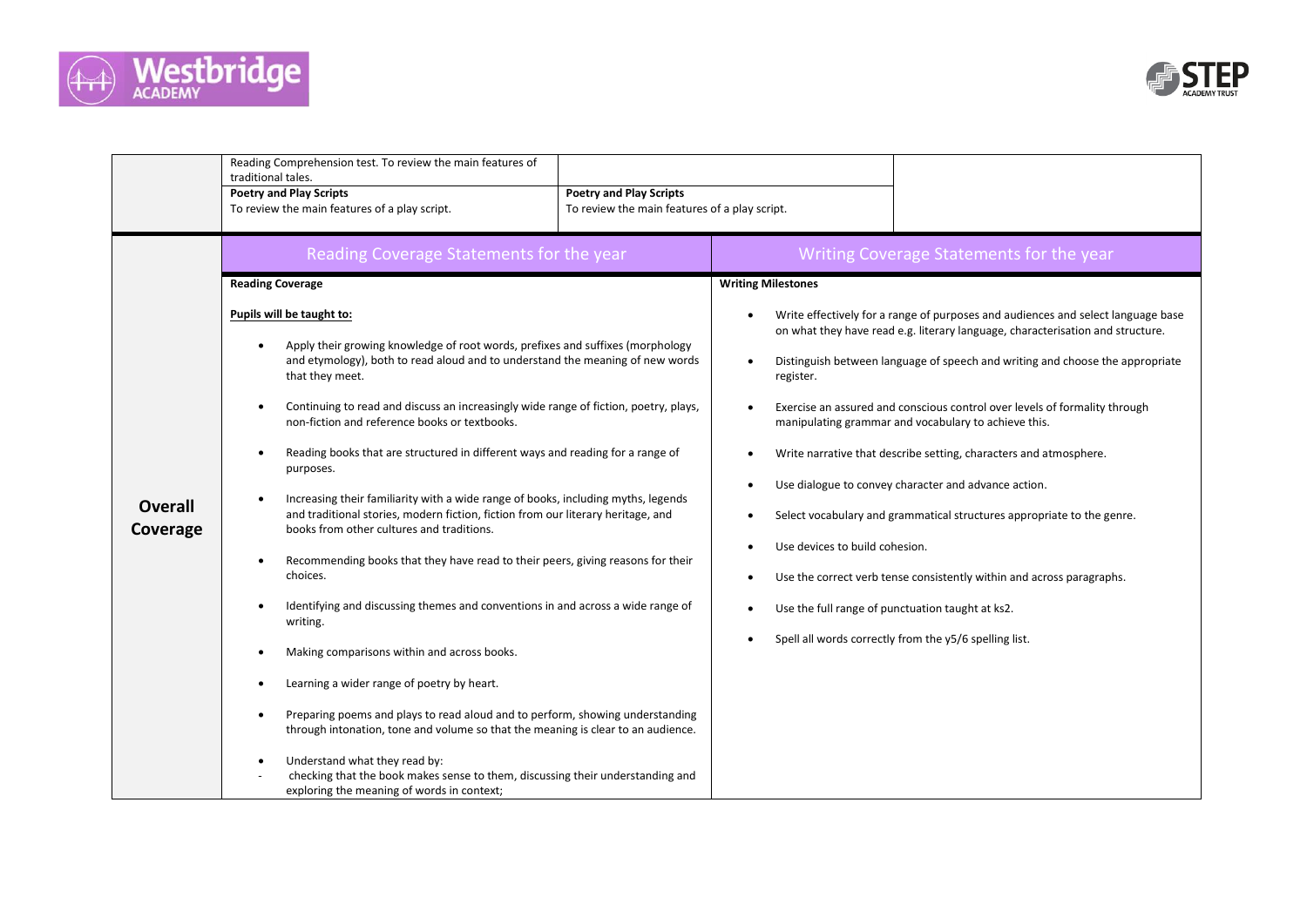



|                     | Reading Comprehension test. To review the main features of<br>traditional tales.                                                                                                                                                                                                                                                                                      |                                                                                                                                                                                                                               |                                                                                                                                |                                                                                                                                                                    |  |  |
|---------------------|-----------------------------------------------------------------------------------------------------------------------------------------------------------------------------------------------------------------------------------------------------------------------------------------------------------------------------------------------------------------------|-------------------------------------------------------------------------------------------------------------------------------------------------------------------------------------------------------------------------------|--------------------------------------------------------------------------------------------------------------------------------|--------------------------------------------------------------------------------------------------------------------------------------------------------------------|--|--|
|                     | <b>Poetry and Play Scripts</b><br>To review the main features of a play script.                                                                                                                                                                                                                                                                                       | <b>Poetry and Play Scripts</b><br>To review the main features of a play script.                                                                                                                                               |                                                                                                                                |                                                                                                                                                                    |  |  |
|                     | Reading Coverage Statements for the year                                                                                                                                                                                                                                                                                                                              |                                                                                                                                                                                                                               |                                                                                                                                | Writing Coverage Statements for the year                                                                                                                           |  |  |
| Overall<br>Coverage | <b>Reading Coverage</b>                                                                                                                                                                                                                                                                                                                                               |                                                                                                                                                                                                                               | <b>Writing Milestones</b>                                                                                                      |                                                                                                                                                                    |  |  |
|                     | Pupils will be taught to:<br>Apply their growing knowledge of root words, prefixes and suffixes (morphology<br>$\bullet$<br>and etymology), both to read aloud and to understand the meaning of new words<br>that they meet.<br>Continuing to read and discuss an increasingly wide range of fiction, poetry, plays,<br>non-fiction and reference books or textbooks. |                                                                                                                                                                                                                               |                                                                                                                                | Write effectively for a range of purposes and audiences and select language base<br>on what they have read e.g. literary language, characterisation and structure. |  |  |
|                     |                                                                                                                                                                                                                                                                                                                                                                       |                                                                                                                                                                                                                               | register.                                                                                                                      | Distinguish between language of speech and writing and choose the appropriate                                                                                      |  |  |
|                     |                                                                                                                                                                                                                                                                                                                                                                       |                                                                                                                                                                                                                               | manipulating grammar and vocabulary to achieve this.                                                                           | Exercise an assured and conscious control over levels of formality through                                                                                         |  |  |
|                     | purposes.                                                                                                                                                                                                                                                                                                                                                             | Reading books that are structured in different ways and reading for a range of                                                                                                                                                |                                                                                                                                | Write narrative that describe setting, characters and atmosphere.                                                                                                  |  |  |
|                     | Increasing their familiarity with a wide range of books, including myths, legends<br>and traditional stories, modern fiction, fiction from our literary heritage, and<br>books from other cultures and traditions.                                                                                                                                                    |                                                                                                                                                                                                                               | Use dialogue to convey character and advance action.<br>Select vocabulary and grammatical structures appropriate to the genre. |                                                                                                                                                                    |  |  |
|                     | choices.                                                                                                                                                                                                                                                                                                                                                              | Recommending books that they have read to their peers, giving reasons for their<br>Identifying and discussing themes and conventions in and across a wide range of<br>writing.<br>Making comparisons within and across books. | Use devices to build cohesion.                                                                                                 | Use the correct verb tense consistently within and across paragraphs.                                                                                              |  |  |
|                     |                                                                                                                                                                                                                                                                                                                                                                       |                                                                                                                                                                                                                               | Use the full range of punctuation taught at ks2.                                                                               |                                                                                                                                                                    |  |  |
|                     |                                                                                                                                                                                                                                                                                                                                                                       |                                                                                                                                                                                                                               | Spell all words correctly from the y5/6 spelling list.                                                                         |                                                                                                                                                                    |  |  |
|                     | Learning a wider range of poetry by heart.                                                                                                                                                                                                                                                                                                                            |                                                                                                                                                                                                                               |                                                                                                                                |                                                                                                                                                                    |  |  |
|                     |                                                                                                                                                                                                                                                                                                                                                                       | Preparing poems and plays to read aloud and to perform, showing understanding<br>through intonation, tone and volume so that the meaning is clear to an audience.                                                             |                                                                                                                                |                                                                                                                                                                    |  |  |
|                     | Understand what they read by:<br>checking that the book makes sense to them, discussing their understanding and<br>exploring the meaning of words in context;                                                                                                                                                                                                         |                                                                                                                                                                                                                               |                                                                                                                                |                                                                                                                                                                    |  |  |